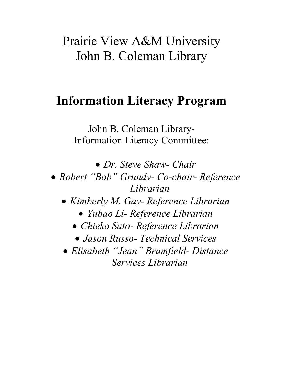# Prairie View A&M University John B. Coleman Library

# **Information Literacy Program**

John B. Coleman Library-Information Literacy Committee:

! *Dr. Steve Shaw- Chair* 

- ! *Robert "Bob" Grundy- Co-chair- Reference Librarian* 
	- ! *Kimberly M. Gay- Reference Librarian*  ! *Yubao Li- Reference Librarian* 
		- ! *Chieko Sato- Reference Librarian*
		- ! *Jason Russo- Technical Services*
	- ! *Elisabeth "Jean" Brumfield- Distance Services Librarian*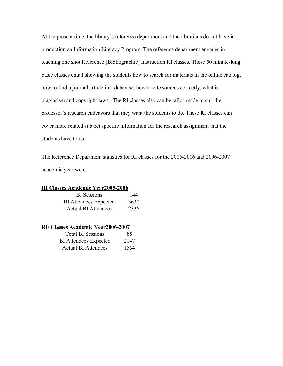At the present time, the library's reference department and the librarians do not have in production an Information Literacy Program. The reference department engages in teaching one shot Reference [Bibliographic] Instruction RI classes. These 50 minute-long basic classes entail showing the students how to search for materials in the online catalog, how to find a journal article in a database, how to cite sources correctly, what is plagiarism and copyright laws. The RI classes also can be tailor-made to suit the professor's research endeavors that they want the students to do. These RI classes can cover more related subject specific information for the research assignment that the students have to do.

The Reference Department statistics for RI classes for the 2005-2006 and 2006-2007 academic year were:

## **RI Classes Academic Year2005-2006**

| <b>BI</b> Sessions           | 144  |
|------------------------------|------|
| <b>BI</b> Attendees Expected | 3630 |
| <b>Actual BI Attendees</b>   | 2336 |

### **RI/ Classes Academic Year2006-2007**

| <b>Total BI Sessions</b>     | 85   |
|------------------------------|------|
| <b>BI</b> Attendees Expected | 2147 |
| <b>Actual BI Attendees</b>   | 1554 |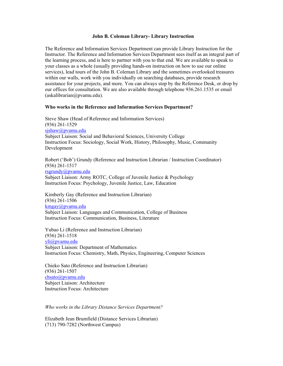#### **John B. Coleman Library- Library Instruction**

The Reference and Information Services Department can provide Library Instruction for the Instructor. The Reference and Information Services Department sees itself as an integral part of the learning process, and is here to partner with you to that end. We are available to speak to your classes as a whole (usually providing hands-on instruction on how to use our online services), lead tours of the John B. Coleman Library and the sometimes overlooked treasures within our walls, work with you individually on searching databases, provide research assistance for your projects, and more. You can always stop by the Reference Desk, or drop by our offices for consultation. We are also available through telephone 936.261.1535 or email (askalibrarian@pvamu.edu).

#### **Who works in the Reference and Information Services Department?**

Steve Shaw (Head of Reference and Information Services) (936) 261-1529 sishaw@pvamu.edu Subject Liaison: Social and Behavioral Sciences, University College Instruction Focus: Sociology, Social Work, History, Philosophy, Music, Community Development

Robert ('Bob') Grundy (Reference and Instruction Librarian / Instruction Coordinator) (936) 261-1517 rsgrundy@pvamu.edu Subject Liaison: Army ROTC, College of Juvenile Justice & Psychology Instruction Focus: Psychology, Juvenile Justice, Law, Education

Kimberly Gay (Reference and Instruction Librarian) (936) 261-1506 kmgay@pvamu.edu Subject Liaison: Languages and Communication, College of Business Instruction Focus: Communication, Business, Literature

Yubao Li (Reference and Instruction Librarian) (936) 261-1518 yli@pvamu.edu Subject Liaison: Department of Mathematics Instruction Focus: Chemistry, Math, Physics, Engineering, Computer Sciences

Chieko Sato (Reference and Instruction Librarian) (936) 261-1507 chsato@pvamu.edu Subject Liaison: Architecture Instruction Focus: Architecture

*Who works in the Library Distance Services Department?*

Elizabeth Jean Brumfield (Distance Services Librarian) (713) 790-7282 (Northwest Campus)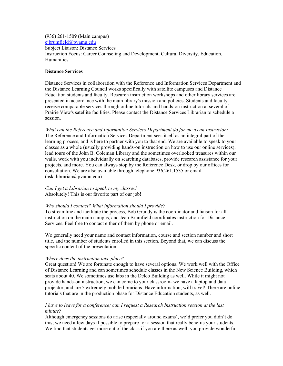(936) 261-1509 (Main campus) ejbrumfield@pvamu.edu Subject Liaison: Distance Services Instruction Focus: Career Counseling and Development, Cultural Diversity, Education, **Humanities** 

### **Distance Services**

Distance Services in collaboration with the Reference and Information Services Department and the Distance Learning Council works specifically with satellite campuses and Distance Education students and faculty. Research instruction workshops and other library services are presented in accordance with the main library's mission and policies. Students and faculty receive comparable services through online tutorials and hands-on instruction at several of Prairie View's satellite facilities. Please contact the Distance Services Librarian to schedule a session.

*What can the Reference and Information Services Department do for me as an Instructor?* The Reference and Information Services Department sees itself as an integral part of the learning process, and is here to partner with you to that end. We are available to speak to your classes as a whole (usually providing hands-on instruction on how to use our online services), lead tours of the John B. Coleman Library and the sometimes overlooked treasures within our walls, work with you individually on searching databases, provide research assistance for your projects, and more. You can always stop by the Reference Desk, or drop by our offices for consultation. We are also available through telephone 936.261.1535 or email (askalibrarian@pvamu.edu).

*Can I get a Librarian to speak to my classes?* Absolutely! This is our favorite part of our job!

#### *Who should I contact? What information should I provide?*

To streamline and facilitate the process, Bob Grundy is the coordinator and liaison for all instruction on the main campus, and Jean Brumfield coordinates instruction for Distance Services. Feel free to contact either of them by phone or email.

We generally need your name and contact information, course and section number and short title, and the number of students enrolled in this section. Beyond that, we can discuss the specific content of the presentation.

#### *Where does the instruction take place?*

Great question! We are fortunate enough to have several options. We work well with the Office of Distance Learning and can sometimes schedule classes in the New Science Building, which seats about 40. We sometimes use labs in the Delco Building as well. While it might not provide hands-on instruction, we can come to your classroom- we have a laptop and data projector, and are 5 extremely mobile librarians. Have information, will travel! There are online tutorials that are in the production phase for Distance Education students, as well.

### *I have to leave for a conference; can I request a Research Instruction session at the last minute?*

Although emergency sessions do arise (especially around exams), we'd prefer you didn't do this; we need a few days if possible to prepare for a session that really benefits your students. We find that students get more out of the class if you are there as well; you provide wonderful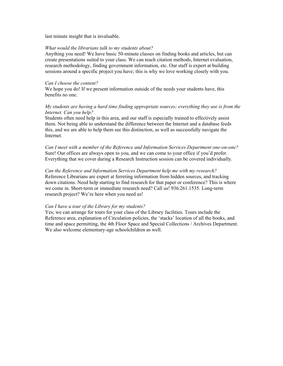last minute insight that is invaluable.

#### *What would the librarians talk to my students about?*

Anything you need! We have basic 50-minute classes on finding books and articles, but can create presentations suited to your class. We can teach citation methods, Internet evaluation, research methodology, finding government information, etc. Our staff is expert at building sessions around a specific project you have; this is why we love working closely with you.

#### *Can I choose the content?*

We hope you do! If we present information outside of the needs your students have, this benefits no one.

### *My students are having a hard time finding appropriate sources; everything they use is from the Internet. Can you help?*

Students often need help in this area, and our staff is especially trained to effectively assist them. Not being able to understand the difference between the Internet and a database feeds this, and we are able to help them see this distinction, as well as successfully navigate the Internet.

*Can I meet with a member of the Reference and Information Services Department one-on-one?* Sure! Our offices are always open to you, and we can come to your office if you'd prefer. Everything that we cover during a Research Instruction session can be covered individually.

*Can the Reference and Information Services Department help me with my research?* Reference Librarians are expert at ferreting information from hidden sources, and tracking down citations. Need help starting to find research for that paper or conference? This is where we come in. Short-term or immediate research need? Call us! 936.261.1535. Long-term research project? We're here when you need us!

#### *Can I have a tour of the Library for my students?*

Yes; we can arrange for tours for your class of the Library facilities. Tours include the Reference area, explanation of Circulation policies, the 'stacks' location of all the books, and time and space permitting, the 4th Floor Space and Special Collections / Archives Department. We also welcome elementary-age schoolchildren as well.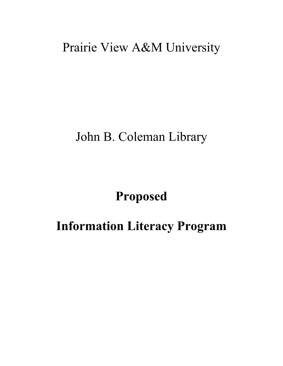# Prairie View A&M University

## John B. Coleman Library

## **Proposed**

## **Information Literacy Program**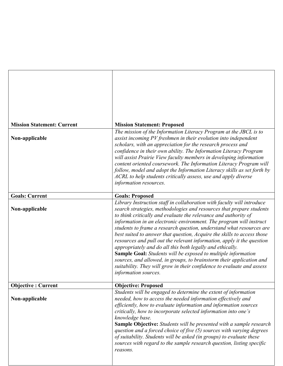| <b>Mission Statement: Current</b> | <b>Mission Statement: Proposed</b>                                                                                                                                                                                                                                                                                                                                                                                                                                                                                                                                                                                                                                                                                                                                                                                                   |
|-----------------------------------|--------------------------------------------------------------------------------------------------------------------------------------------------------------------------------------------------------------------------------------------------------------------------------------------------------------------------------------------------------------------------------------------------------------------------------------------------------------------------------------------------------------------------------------------------------------------------------------------------------------------------------------------------------------------------------------------------------------------------------------------------------------------------------------------------------------------------------------|
|                                   | The mission of the Information Literacy Program at the JBCL is to                                                                                                                                                                                                                                                                                                                                                                                                                                                                                                                                                                                                                                                                                                                                                                    |
| Non-applicable                    | assist incoming PV freshmen in their evolution into independent<br>scholars, with an appreciation for the research process and<br>confidence in their own ability. The Information Literacy Program<br>will assist Prairie View faculty members in developing information<br>content oriented coursework. The Information Literacy Program will<br>follow, model and adopt the Information Literacy skills as set forth by<br>ACRL to help students critically assess, use and apply diverse<br>information resources.                                                                                                                                                                                                                                                                                                               |
| <b>Goals: Current</b>             | <b>Goals: Proposed</b>                                                                                                                                                                                                                                                                                                                                                                                                                                                                                                                                                                                                                                                                                                                                                                                                               |
| Non-applicable                    | Library Instruction staff in collaboration with faculty will introduce<br>search strategies, methodologies and resources that prepare students<br>to think critically and evaluate the relevance and authority of<br>information in an electronic environment. The program will instruct<br>students to frame a research question, understand what resources are<br>best suited to answer that question, Acquire the skills to access those<br>resources and pull out the relevant information, apply it the question<br>appropriately and do all this both legally and ethically.<br><b>Sample Goal:</b> Students will be exposed to multiple information<br>sources, and allowed, in groups, to brainstorm their application and<br>suitability. They will grow in their confidence to evaluate and assess<br>information sources. |
| <b>Objective: Current</b>         | <b>Objective: Proposed</b>                                                                                                                                                                                                                                                                                                                                                                                                                                                                                                                                                                                                                                                                                                                                                                                                           |
| Non-applicable                    | Students will be engaged to determine the extent of information<br>needed, how to access the needed information effectively and<br>efficiently, how to evaluate information and information sources<br>critically, how to incorporate selected information into one's<br>knowledge base.<br><b>Sample Objective:</b> Students will be presented with a sample research<br>question and a forced choice of five (5) sources with varying degrees<br>of suitability. Students will be asked (in groups) to evaluate these<br>sources with regard to the sample research question, listing specific<br>reasons.                                                                                                                                                                                                                         |

٦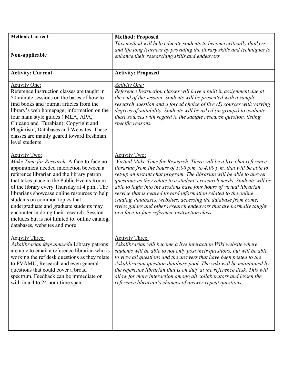| <b>Method: Current</b>                                                                                                                                                                                                                                                                                                                                                                                                                                                                                                | <b>Method: Proposed</b>                                                                                                                                                                                                                                                                                                                                                                                                                                                                                                                                                                                                                                               |
|-----------------------------------------------------------------------------------------------------------------------------------------------------------------------------------------------------------------------------------------------------------------------------------------------------------------------------------------------------------------------------------------------------------------------------------------------------------------------------------------------------------------------|-----------------------------------------------------------------------------------------------------------------------------------------------------------------------------------------------------------------------------------------------------------------------------------------------------------------------------------------------------------------------------------------------------------------------------------------------------------------------------------------------------------------------------------------------------------------------------------------------------------------------------------------------------------------------|
| Non-applicable                                                                                                                                                                                                                                                                                                                                                                                                                                                                                                        | This method will help educate students to become critically thinkers<br>and life long learners by providing the library skills and techniques to<br>enhance their researching skills and endeavors.                                                                                                                                                                                                                                                                                                                                                                                                                                                                   |
| <b>Activity: Current</b>                                                                                                                                                                                                                                                                                                                                                                                                                                                                                              | <b>Activity: Proposed</b>                                                                                                                                                                                                                                                                                                                                                                                                                                                                                                                                                                                                                                             |
| <b>Activity One:</b><br>Reference Instruction classes are taught in<br>50 minute sessions on the bases of how to<br>find books and journal articles from the<br>library's web homepage; information on the<br>four main style guides (MLA, APA,<br>Chicago and Turabian); Copyright and<br>Plagiarism; Databases and Websites. These<br>classes are mainly geared toward freshman<br>level students                                                                                                                   | <b>Activity One:</b><br>Reference Instruction classes will have a built in assignment due at<br>the end of the session. Students will be presented with a sample<br>research question and a forced choice of five (5) sources with varying<br>degrees of suitability. Students will be asked (in groups) to evaluate<br>these sources with regard to the sample research question, listing<br>specific reasons.                                                                                                                                                                                                                                                       |
| <b>Activity Two:</b><br>Make Time for Research. A face-to-face no<br>appointment needed interaction between a<br>reference librarian and the library patron<br>that takes place in the Public Events Room<br>of the library every Thursday at 4 p.m The<br>librarians showcase online resources to help<br>students on common topics that<br>undergraduate and graduate students may<br>encounter in doing their research. Session<br>includes but is not limited to: online catalog,<br>databases, websites and more | <b>Activity Two:</b><br>Virtual Make Time for Research. There will be a live chat reference<br>librarian from the hours of $1:00$ p.m. to $4:00$ p.m. that will be able to<br>set-up an instant chat program. The librarian will be able to answer<br>questions as they relate to a student's research needs. Students will be<br>able to login into the sessions have four hours of virtual librarian<br>service that is geared toward information related to the online<br>catalog, databases, websites, accessing the database from home,<br>styles guides and other research endeavors that are normally taught<br>in a face-to-face reference instruction class. |
| <b>Activity Three:</b><br>Askalibrarian @pvamu.edu Library patrons<br>are able to email a reference librarian who is<br>working the ref desk questions as they relate<br>to PVAMU, Research and even general<br>questions that could cover a broad<br>spectrum. Feedback can be immediate or<br>with in a 4 to 24 hour time span.                                                                                                                                                                                     | <b>Activity Three:</b><br>Askalibrarian will become a live interaction Wiki website where<br>students will be able to not only post their questions, but will be able<br>to view all questions and the answers that have been posted to the<br>Askalibrarian question database pool. The wiki will be maintained by<br>the reference librarian that is on duty at the reference desk. This will<br>allow for more interaction among all collaborators and lessen the<br>reference librarian's chances of answer repeat questions.                                                                                                                                     |